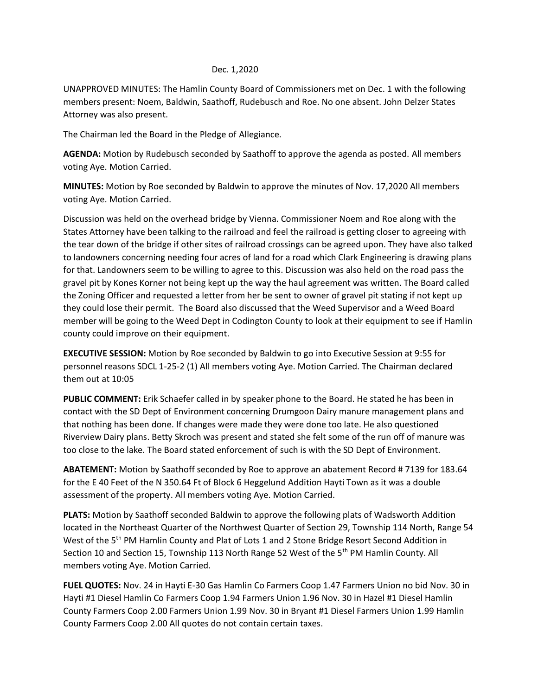## Dec. 1,2020

UNAPPROVED MINUTES: The Hamlin County Board of Commissioners met on Dec. 1 with the following members present: Noem, Baldwin, Saathoff, Rudebusch and Roe. No one absent. John Delzer States Attorney was also present.

The Chairman led the Board in the Pledge of Allegiance.

**AGENDA:** Motion by Rudebusch seconded by Saathoff to approve the agenda as posted. All members voting Aye. Motion Carried.

**MINUTES:** Motion by Roe seconded by Baldwin to approve the minutes of Nov. 17,2020 All members voting Aye. Motion Carried.

Discussion was held on the overhead bridge by Vienna. Commissioner Noem and Roe along with the States Attorney have been talking to the railroad and feel the railroad is getting closer to agreeing with the tear down of the bridge if other sites of railroad crossings can be agreed upon. They have also talked to landowners concerning needing four acres of land for a road which Clark Engineering is drawing plans for that. Landowners seem to be willing to agree to this. Discussion was also held on the road pass the gravel pit by Kones Korner not being kept up the way the haul agreement was written. The Board called the Zoning Officer and requested a letter from her be sent to owner of gravel pit stating if not kept up they could lose their permit. The Board also discussed that the Weed Supervisor and a Weed Board member will be going to the Weed Dept in Codington County to look at their equipment to see if Hamlin county could improve on their equipment.

**EXECUTIVE SESSION:** Motion by Roe seconded by Baldwin to go into Executive Session at 9:55 for personnel reasons SDCL 1-25-2 (1) All members voting Aye. Motion Carried. The Chairman declared them out at 10:05

**PUBLIC COMMENT:** Erik Schaefer called in by speaker phone to the Board. He stated he has been in contact with the SD Dept of Environment concerning Drumgoon Dairy manure management plans and that nothing has been done. If changes were made they were done too late. He also questioned Riverview Dairy plans. Betty Skroch was present and stated she felt some of the run off of manure was too close to the lake. The Board stated enforcement of such is with the SD Dept of Environment.

**ABATEMENT:** Motion by Saathoff seconded by Roe to approve an abatement Record # 7139 for 183.64 for the E 40 Feet of the N 350.64 Ft of Block 6 Heggelund Addition Hayti Town as it was a double assessment of the property. All members voting Aye. Motion Carried.

**PLATS:** Motion by Saathoff seconded Baldwin to approve the following plats of Wadsworth Addition located in the Northeast Quarter of the Northwest Quarter of Section 29, Township 114 North, Range 54 West of the 5<sup>th</sup> PM Hamlin County and Plat of Lots 1 and 2 Stone Bridge Resort Second Addition in Section 10 and Section 15, Township 113 North Range 52 West of the 5<sup>th</sup> PM Hamlin County. All members voting Aye. Motion Carried.

**FUEL QUOTES:** Nov. 24 in Hayti E-30 Gas Hamlin Co Farmers Coop 1.47 Farmers Union no bid Nov. 30 in Hayti #1 Diesel Hamlin Co Farmers Coop 1.94 Farmers Union 1.96 Nov. 30 in Hazel #1 Diesel Hamlin County Farmers Coop 2.00 Farmers Union 1.99 Nov. 30 in Bryant #1 Diesel Farmers Union 1.99 Hamlin County Farmers Coop 2.00 All quotes do not contain certain taxes.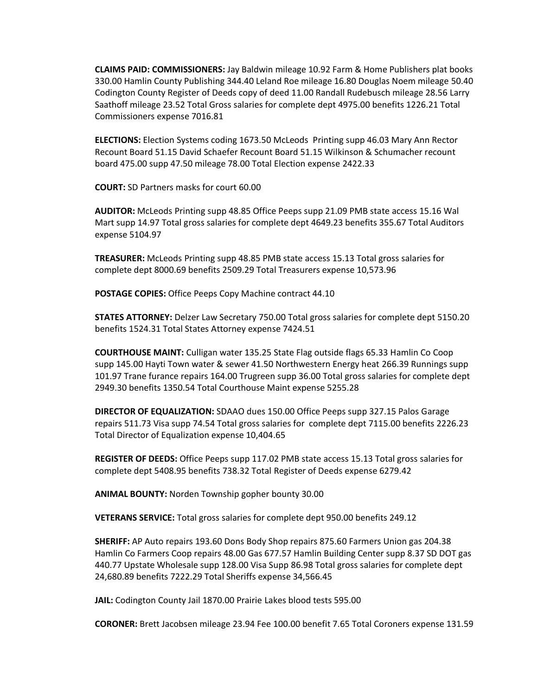**CLAIMS PAID: COMMISSIONERS:** Jay Baldwin mileage 10.92 Farm & Home Publishers plat books 330.00 Hamlin County Publishing 344.40 Leland Roe mileage 16.80 Douglas Noem mileage 50.40 Codington County Register of Deeds copy of deed 11.00 Randall Rudebusch mileage 28.56 Larry Saathoff mileage 23.52 Total Gross salaries for complete dept 4975.00 benefits 1226.21 Total Commissioners expense 7016.81

**ELECTIONS:** Election Systems coding 1673.50 McLeods Printing supp 46.03 Mary Ann Rector Recount Board 51.15 David Schaefer Recount Board 51.15 Wilkinson & Schumacher recount board 475.00 supp 47.50 mileage 78.00 Total Election expense 2422.33

**COURT:** SD Partners masks for court 60.00

**AUDITOR:** McLeods Printing supp 48.85 Office Peeps supp 21.09 PMB state access 15.16 Wal Mart supp 14.97 Total gross salaries for complete dept 4649.23 benefits 355.67 Total Auditors expense 5104.97

**TREASURER:** McLeods Printing supp 48.85 PMB state access 15.13 Total gross salaries for complete dept 8000.69 benefits 2509.29 Total Treasurers expense 10,573.96

**POSTAGE COPIES:** Office Peeps Copy Machine contract 44.10

**STATES ATTORNEY:** Delzer Law Secretary 750.00 Total gross salaries for complete dept 5150.20 benefits 1524.31 Total States Attorney expense 7424.51

**COURTHOUSE MAINT:** Culligan water 135.25 State Flag outside flags 65.33 Hamlin Co Coop supp 145.00 Hayti Town water & sewer 41.50 Northwestern Energy heat 266.39 Runnings supp 101.97 Trane furance repairs 164.00 Trugreen supp 36.00 Total gross salaries for complete dept 2949.30 benefits 1350.54 Total Courthouse Maint expense 5255.28

**DIRECTOR OF EQUALIZATION:** SDAAO dues 150.00 Office Peeps supp 327.15 Palos Garage repairs 511.73 Visa supp 74.54 Total gross salaries for complete dept 7115.00 benefits 2226.23 Total Director of Equalization expense 10,404.65

**REGISTER OF DEEDS:** Office Peeps supp 117.02 PMB state access 15.13 Total gross salaries for complete dept 5408.95 benefits 738.32 Total Register of Deeds expense 6279.42

**ANIMAL BOUNTY:** Norden Township gopher bounty 30.00

**VETERANS SERVICE:** Total gross salaries for complete dept 950.00 benefits 249.12

**SHERIFF:** AP Auto repairs 193.60 Dons Body Shop repairs 875.60 Farmers Union gas 204.38 Hamlin Co Farmers Coop repairs 48.00 Gas 677.57 Hamlin Building Center supp 8.37 SD DOT gas 440.77 Upstate Wholesale supp 128.00 Visa Supp 86.98 Total gross salaries for complete dept 24,680.89 benefits 7222.29 Total Sheriffs expense 34,566.45

**JAIL:** Codington County Jail 1870.00 Prairie Lakes blood tests 595.00

**CORONER:** Brett Jacobsen mileage 23.94 Fee 100.00 benefit 7.65 Total Coroners expense 131.59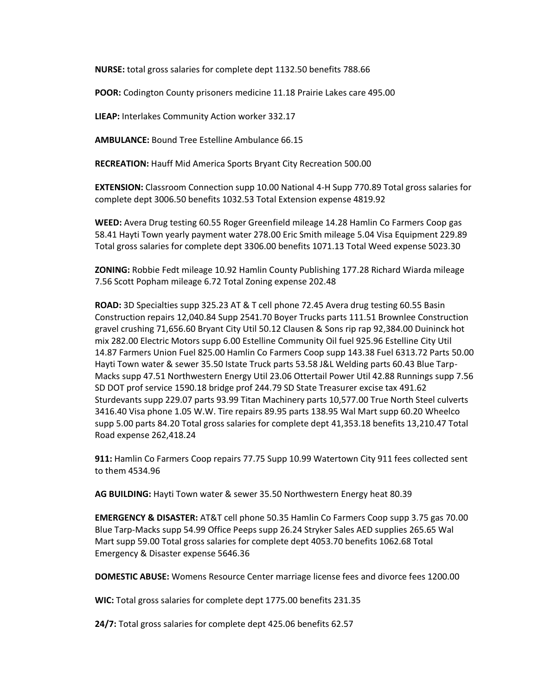**NURSE:** total gross salaries for complete dept 1132.50 benefits 788.66

**POOR:** Codington County prisoners medicine 11.18 Prairie Lakes care 495.00

**LIEAP:** Interlakes Community Action worker 332.17

**AMBULANCE:** Bound Tree Estelline Ambulance 66.15

**RECREATION:** Hauff Mid America Sports Bryant City Recreation 500.00

**EXTENSION:** Classroom Connection supp 10.00 National 4-H Supp 770.89 Total gross salaries for complete dept 3006.50 benefits 1032.53 Total Extension expense 4819.92

**WEED:** Avera Drug testing 60.55 Roger Greenfield mileage 14.28 Hamlin Co Farmers Coop gas 58.41 Hayti Town yearly payment water 278.00 Eric Smith mileage 5.04 Visa Equipment 229.89 Total gross salaries for complete dept 3306.00 benefits 1071.13 Total Weed expense 5023.30

**ZONING:** Robbie Fedt mileage 10.92 Hamlin County Publishing 177.28 Richard Wiarda mileage 7.56 Scott Popham mileage 6.72 Total Zoning expense 202.48

**ROAD:** 3D Specialties supp 325.23 AT & T cell phone 72.45 Avera drug testing 60.55 Basin Construction repairs 12,040.84 Supp 2541.70 Boyer Trucks parts 111.51 Brownlee Construction gravel crushing 71,656.60 Bryant City Util 50.12 Clausen & Sons rip rap 92,384.00 Duininck hot mix 282.00 Electric Motors supp 6.00 Estelline Community Oil fuel 925.96 Estelline City Util 14.87 Farmers Union Fuel 825.00 Hamlin Co Farmers Coop supp 143.38 Fuel 6313.72 Parts 50.00 Hayti Town water & sewer 35.50 Istate Truck parts 53.58 J&L Welding parts 60.43 Blue Tarp-Macks supp 47.51 Northwestern Energy Util 23.06 Ottertail Power Util 42.88 Runnings supp 7.56 SD DOT prof service 1590.18 bridge prof 244.79 SD State Treasurer excise tax 491.62 Sturdevants supp 229.07 parts 93.99 Titan Machinery parts 10,577.00 True North Steel culverts 3416.40 Visa phone 1.05 W.W. Tire repairs 89.95 parts 138.95 Wal Mart supp 60.20 Wheelco supp 5.00 parts 84.20 Total gross salaries for complete dept 41,353.18 benefits 13,210.47 Total Road expense 262,418.24

**911:** Hamlin Co Farmers Coop repairs 77.75 Supp 10.99 Watertown City 911 fees collected sent to them 4534.96

**AG BUILDING:** Hayti Town water & sewer 35.50 Northwestern Energy heat 80.39

**EMERGENCY & DISASTER:** AT&T cell phone 50.35 Hamlin Co Farmers Coop supp 3.75 gas 70.00 Blue Tarp-Macks supp 54.99 Office Peeps supp 26.24 Stryker Sales AED supplies 265.65 Wal Mart supp 59.00 Total gross salaries for complete dept 4053.70 benefits 1062.68 Total Emergency & Disaster expense 5646.36

**DOMESTIC ABUSE:** Womens Resource Center marriage license fees and divorce fees 1200.00

**WIC:** Total gross salaries for complete dept 1775.00 benefits 231.35

**24/7:** Total gross salaries for complete dept 425.06 benefits 62.57